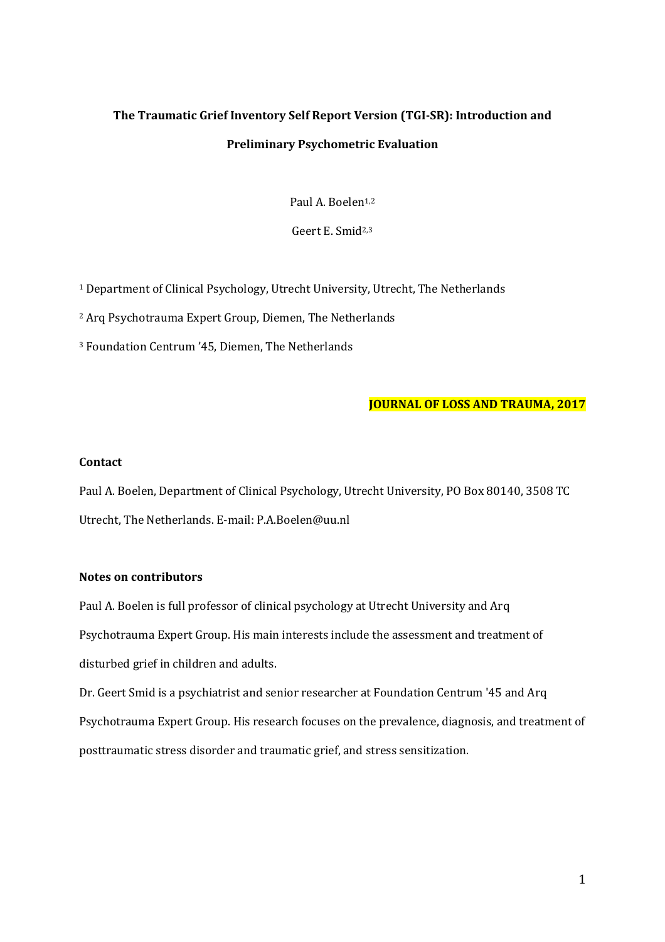# **The Traumatic Grief Inventory Self Report Version (TGI-SR): Introduction and Preliminary Psychometric Evaluation**

Paul A. Boelen<sup>1,2</sup>

Geert E. Smid2,3

<sup>1</sup> Department of Clinical Psychology, Utrecht University, Utrecht, The Netherlands

<sup>2</sup> Arq Psychotrauma Expert Group, Diemen, The Netherlands

<sup>3</sup> Foundation Centrum '45, Diemen, The Netherlands

## **JOURNAL OF LOSS AND TRAUMA, 2017**

## **Contact**

Paul A. Boelen, Department of Clinical Psychology, Utrecht University, PO Box 80140, 3508 TC Utrecht, The Netherlands. E-mail: P.A.Boelen@uu.nl

## **Notes on contributors**

Paul A. Boelen is full professor of clinical psychology at Utrecht University and Arq Psychotrauma Expert Group. His main interests include the assessment and treatment of disturbed grief in children and adults.

Dr. Geert Smid is a psychiatrist and senior researcher at Foundation Centrum '45 and Arq Psychotrauma Expert Group. His research focuses on the prevalence, diagnosis, and treatment of posttraumatic stress disorder and traumatic grief, and stress sensitization.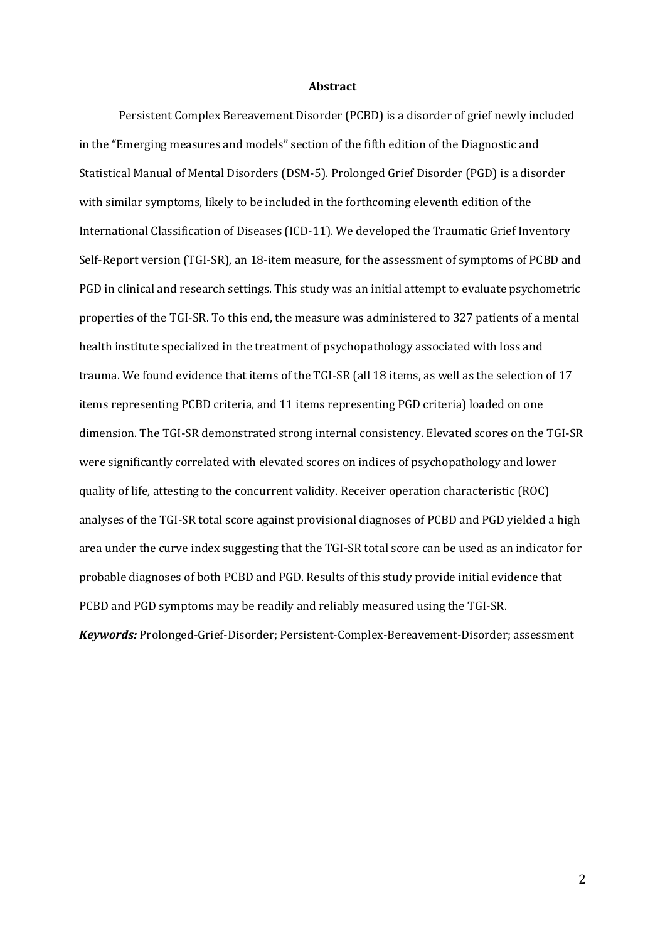#### **Abstract**

Persistent Complex Bereavement Disorder (PCBD) is a disorder of grief newly included in the "Emerging measures and models" section of the fifth edition of the Diagnostic and Statistical Manual of Mental Disorders (DSM-5). Prolonged Grief Disorder (PGD) is a disorder with similar symptoms, likely to be included in the forthcoming eleventh edition of the International Classification of Diseases (ICD-11). We developed the Traumatic Grief Inventory Self-Report version (TGI-SR), an 18-item measure, for the assessment of symptoms of PCBD and PGD in clinical and research settings. This study was an initial attempt to evaluate psychometric properties of the TGI-SR. To this end, the measure was administered to 327 patients of a mental health institute specialized in the treatment of psychopathology associated with loss and trauma. We found evidence that items of the TGI-SR (all 18 items, as well as the selection of 17 items representing PCBD criteria, and 11 items representing PGD criteria) loaded on one dimension. The TGI-SR demonstrated strong internal consistency. Elevated scores on the TGI-SR were significantly correlated with elevated scores on indices of psychopathology and lower quality of life, attesting to the concurrent validity. Receiver operation characteristic (ROC) analyses of the TGI-SR total score against provisional diagnoses of PCBD and PGD yielded a high area under the curve index suggesting that the TGI-SR total score can be used as an indicator for probable diagnoses of both PCBD and PGD. Results of this study provide initial evidence that PCBD and PGD symptoms may be readily and reliably measured using the TGI-SR. *Keywords:* Prolonged-Grief-Disorder; Persistent-Complex-Bereavement-Disorder; assessment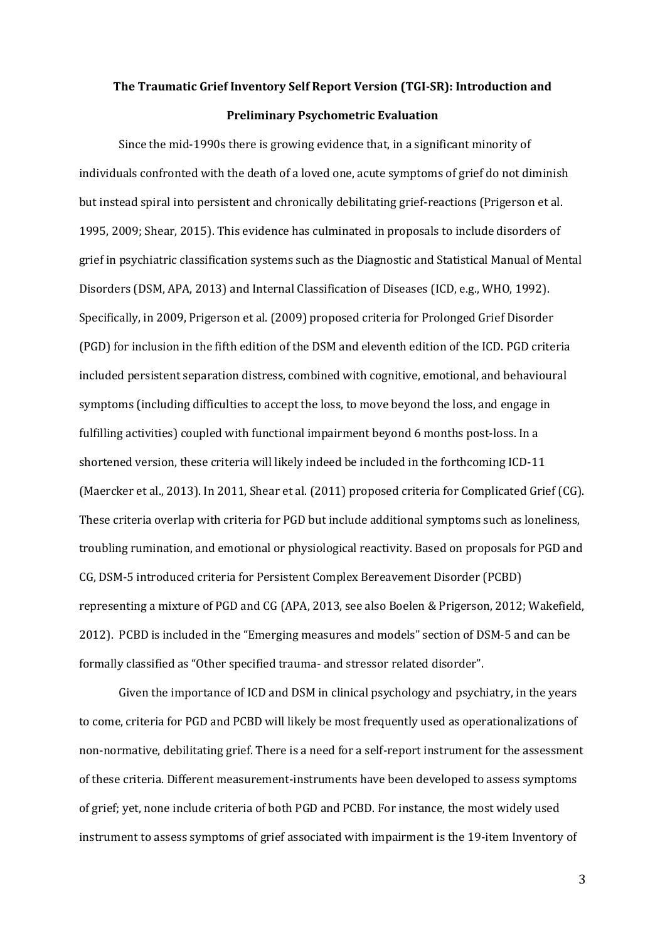# **The Traumatic Grief Inventory Self Report Version (TGI-SR): Introduction and Preliminary Psychometric Evaluation**

Since the mid-1990s there is growing evidence that, in a significant minority of individuals confronted with the death of a loved one, acute symptoms of grief do not diminish but instead spiral into persistent and chronically debilitating grief-reactions (Prigerson et al. 1995, 2009; Shear, 2015). This evidence has culminated in proposals to include disorders of grief in psychiatric classification systems such as the Diagnostic and Statistical Manual of Mental Disorders (DSM, APA, 2013) and Internal Classification of Diseases (ICD, e.g., WHO, 1992). Specifically, in 2009, Prigerson et al. (2009) proposed criteria for Prolonged Grief Disorder (PGD) for inclusion in the fifth edition of the DSM and eleventh edition of the ICD. PGD criteria included persistent separation distress, combined with cognitive, emotional, and behavioural symptoms (including difficulties to accept the loss, to move beyond the loss, and engage in fulfilling activities) coupled with functional impairment beyond 6 months post-loss. In a shortened version, these criteria will likely indeed be included in the forthcoming ICD-11 (Maercker et al., 2013). In 2011, Shear et al. (2011) proposed criteria for Complicated Grief (CG). These criteria overlap with criteria for PGD but include additional symptoms such as loneliness, troubling rumination, and emotional or physiological reactivity. Based on proposals for PGD and CG, DSM-5 introduced criteria for Persistent Complex Bereavement Disorder (PCBD) representing a mixture of PGD and CG (APA, 2013, see also Boelen & Prigerson, 2012; Wakefield, 2012). PCBD is included in the "Emerging measures and models" section of DSM-5 and can be formally classified as "Other specified trauma- and stressor related disorder".

Given the importance of ICD and DSM in clinical psychology and psychiatry, in the years to come, criteria for PGD and PCBD will likely be most frequently used as operationalizations of non-normative, debilitating grief. There is a need for a self-report instrument for the assessment of these criteria. Different measurement-instruments have been developed to assess symptoms of grief; yet, none include criteria of both PGD and PCBD. For instance, the most widely used instrument to assess symptoms of grief associated with impairment is the 19-item Inventory of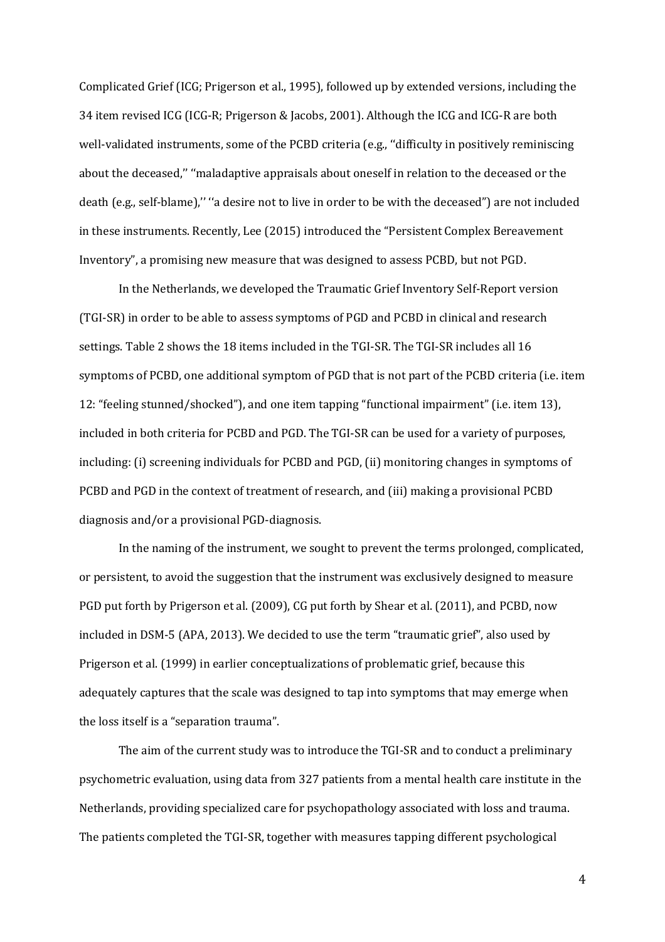Complicated Grief (ICG; Prigerson et al., 1995), followed up by extended versions, including the 34 item revised ICG (ICG-R; Prigerson & Jacobs, 2001). Although the ICG and ICG-R are both well-validated instruments, some of the PCBD criteria (e.g., "difficulty in positively reminiscing about the deceased,'' ''maladaptive appraisals about oneself in relation to the deceased or the death (e.g., self-blame),'' ''a desire not to live in order to be with the deceased") are not included in these instruments. Recently, Lee (2015) introduced the "Persistent Complex Bereavement Inventory", a promising new measure that was designed to assess PCBD, but not PGD.

In the Netherlands, we developed the Traumatic Grief Inventory Self-Report version (TGI-SR) in order to be able to assess symptoms of PGD and PCBD in clinical and research settings. Table 2 shows the 18 items included in the TGI-SR. The TGI-SR includes all 16 symptoms of PCBD, one additional symptom of PGD that is not part of the PCBD criteria (i.e. item 12: "feeling stunned/shocked"), and one item tapping "functional impairment" (i.e. item 13), included in both criteria for PCBD and PGD. The TGI-SR can be used for a variety of purposes, including: (i) screening individuals for PCBD and PGD, (ii) monitoring changes in symptoms of PCBD and PGD in the context of treatment of research, and (iii) making a provisional PCBD diagnosis and/or a provisional PGD-diagnosis.

In the naming of the instrument, we sought to prevent the terms prolonged, complicated, or persistent, to avoid the suggestion that the instrument was exclusively designed to measure PGD put forth by Prigerson et al. (2009), CG put forth by Shear et al. (2011), and PCBD, now included in DSM-5 (APA, 2013). We decided to use the term "traumatic grief", also used by Prigerson et al. (1999) in earlier conceptualizations of problematic grief, because this adequately captures that the scale was designed to tap into symptoms that may emerge when the loss itself is a "separation trauma".

The aim of the current study was to introduce the TGI-SR and to conduct a preliminary psychometric evaluation, using data from 327 patients from a mental health care institute in the Netherlands, providing specialized care for psychopathology associated with loss and trauma. The patients completed the TGI-SR, together with measures tapping different psychological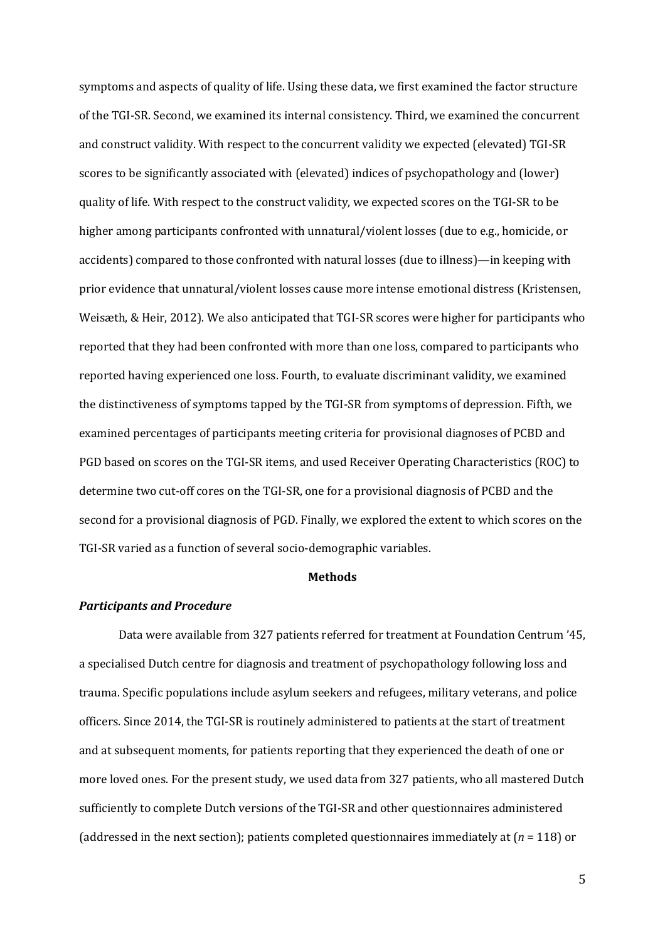symptoms and aspects of quality of life. Using these data, we first examined the factor structure of the TGI-SR. Second, we examined its internal consistency. Third, we examined the concurrent and construct validity. With respect to the concurrent validity we expected (elevated) TGI-SR scores to be significantly associated with (elevated) indices of psychopathology and (lower) quality of life. With respect to the construct validity, we expected scores on the TGI-SR to be higher among participants confronted with unnatural/violent losses (due to e.g., homicide, or accidents) compared to those confronted with natural losses (due to illness)—in keeping with prior evidence that unnatural/violent losses cause more intense emotional distress (Kristensen, Weisæth, & Heir, 2012). We also anticipated that TGI-SR scores were higher for participants who reported that they had been confronted with more than one loss, compared to participants who reported having experienced one loss. Fourth, to evaluate discriminant validity, we examined the distinctiveness of symptoms tapped by the TGI-SR from symptoms of depression. Fifth, we examined percentages of participants meeting criteria for provisional diagnoses of PCBD and PGD based on scores on the TGI-SR items, and used Receiver Operating Characteristics (ROC) to determine two cut-off cores on the TGI-SR, one for a provisional diagnosis of PCBD and the second for a provisional diagnosis of PGD. Finally, we explored the extent to which scores on the TGI-SR varied as a function of several socio-demographic variables.

#### **Methods**

#### *Participants and Procedure*

Data were available from 327 patients referred for treatment at Foundation Centrum '45, a specialised Dutch centre for diagnosis and treatment of psychopathology following loss and trauma. Specific populations include asylum seekers and refugees, military veterans, and police officers. Since 2014, the TGI-SR is routinely administered to patients at the start of treatment and at subsequent moments, for patients reporting that they experienced the death of one or more loved ones. For the present study, we used data from 327 patients, who all mastered Dutch sufficiently to complete Dutch versions of the TGI-SR and other questionnaires administered (addressed in the next section); patients completed questionnaires immediately at (*n* = 118) or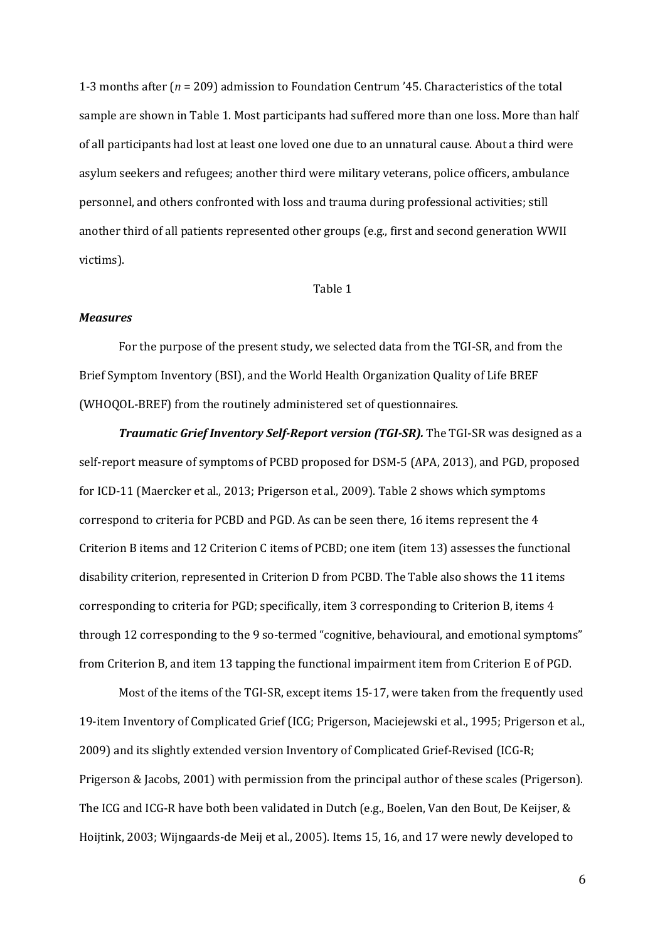1-3 months after (*n* = 209) admission to Foundation Centrum '45. Characteristics of the total sample are shown in Table 1. Most participants had suffered more than one loss. More than half of all participants had lost at least one loved one due to an unnatural cause. About a third were asylum seekers and refugees; another third were military veterans, police officers, ambulance personnel, and others confronted with loss and trauma during professional activities; still another third of all patients represented other groups (e.g., first and second generation WWII victims).

#### Table 1

#### *Measures*

For the purpose of the present study, we selected data from the TGI-SR, and from the Brief Symptom Inventory (BSI), and the World Health Organization Quality of Life BREF (WHOQOL-BREF) from the routinely administered set of questionnaires.

*Traumatic Grief Inventory Self-Report version (TGI-SR).* The TGI-SR was designed as a self-report measure of symptoms of PCBD proposed for DSM-5 (APA, 2013), and PGD, proposed for ICD-11 (Maercker et al., 2013; Prigerson et al., 2009). Table 2 shows which symptoms correspond to criteria for PCBD and PGD. As can be seen there, 16 items represent the 4 Criterion B items and 12 Criterion C items of PCBD; one item (item 13) assesses the functional disability criterion, represented in Criterion D from PCBD. The Table also shows the 11 items corresponding to criteria for PGD; specifically, item 3 corresponding to Criterion B, items 4 through 12 corresponding to the 9 so-termed "cognitive, behavioural, and emotional symptoms" from Criterion B, and item 13 tapping the functional impairment item from Criterion E of PGD.

Most of the items of the TGI-SR, except items 15-17, were taken from the frequently used 19-item Inventory of Complicated Grief (ICG; Prigerson, Maciejewski et al., 1995; Prigerson et al., 2009) and its slightly extended version Inventory of Complicated Grief-Revised (ICG-R; Prigerson & Jacobs, 2001) with permission from the principal author of these scales (Prigerson). The ICG and ICG-R have both been validated in Dutch (e.g., Boelen, Van den Bout, De Keijser, & Hoijtink, 2003; Wijngaards-de Meij et al., 2005). Items 15, 16, and 17 were newly developed to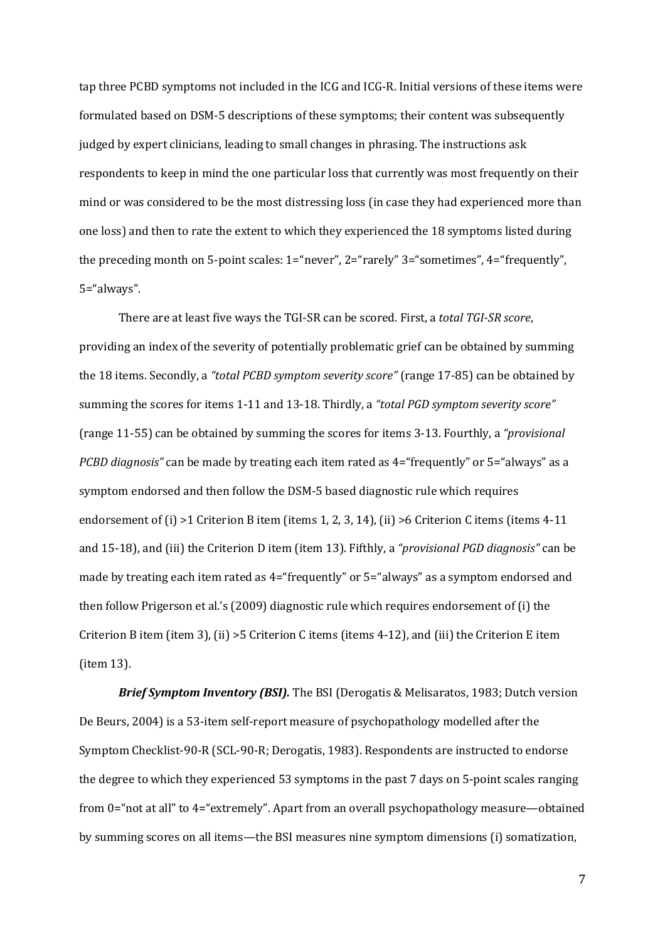tap three PCBD symptoms not included in the ICG and ICG-R. Initial versions of these items were formulated based on DSM-5 descriptions of these symptoms; their content was subsequently judged by expert clinicians, leading to small changes in phrasing. The instructions ask respondents to keep in mind the one particular loss that currently was most frequently on their mind or was considered to be the most distressing loss (in case they had experienced more than one loss) and then to rate the extent to which they experienced the 18 symptoms listed during the preceding month on 5-point scales: 1="never", 2="rarely" 3="sometimes", 4="frequently", 5="always".

There are at least five ways the TGI-SR can be scored. First, a *total TGI-SR score*, providing an index of the severity of potentially problematic grief can be obtained by summing the 18 items. Secondly, a *"total PCBD symptom severity score"* (range 17-85) can be obtained by summing the scores for items 1-11 and 13-18. Thirdly, a *"total PGD symptom severity score"* (range 11-55) can be obtained by summing the scores for items 3-13. Fourthly, a *"provisional PCBD diagnosis"* can be made by treating each item rated as 4="frequently" or 5="always" as a symptom endorsed and then follow the DSM-5 based diagnostic rule which requires endorsement of (i) >1 Criterion B item (items 1, 2, 3, 14), (ii) >6 Criterion C items (items 4-11 and 15-18), and (iii) the Criterion D item (item 13). Fifthly, a *"provisional PGD diagnosis"* can be made by treating each item rated as 4="frequently" or 5="always" as a symptom endorsed and then follow Prigerson et al.'s (2009) diagnostic rule which requires endorsement of (i) the Criterion B item (item 3), (ii) >5 Criterion C items (items 4-12), and (iii) the Criterion E item (item 13).

*Brief Symptom Inventory (BSI).* The BSI (Derogatis & Melisaratos, 1983; Dutch version De Beurs, 2004) is a 53-item self-report measure of psychopathology modelled after the Symptom Checklist-90-R (SCL-90-R; Derogatis, 1983). Respondents are instructed to endorse the degree to which they experienced 53 symptoms in the past 7 days on 5-point scales ranging from 0="not at all" to 4="extremely". Apart from an overall psychopathology measure—obtained by summing scores on all items—the BSI measures nine symptom dimensions (i) somatization,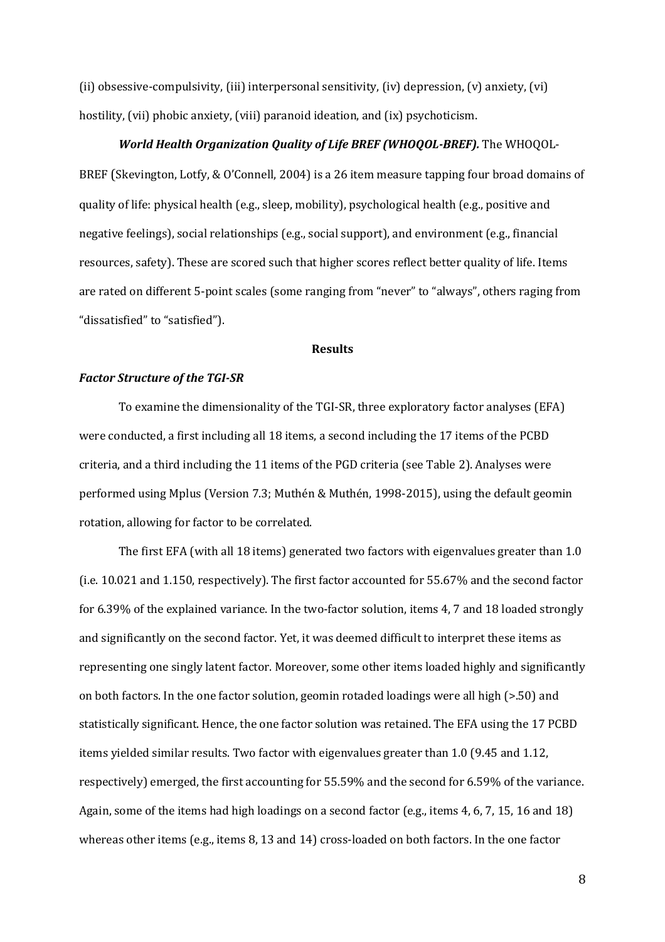(ii) obsessive-compulsivity, (iii) interpersonal sensitivity, (iv) depression, (v) anxiety, (vi) hostility, (vii) phobic anxiety, (viii) paranoid ideation, and (ix) psychoticism.

#### *World Health Organization Quality of Life BREF (WHOQOL-BREF).* The WHOQOL-

BREF (Skevington, Lotfy, & O'Connell, 2004) is a 26 item measure tapping four broad domains of quality of life: physical health (e.g., sleep, mobility), psychological health (e.g., positive and negative feelings), social relationships (e.g., social support), and environment (e.g., financial resources, safety). These are scored such that higher scores reflect better quality of life. Items are rated on different 5-point scales (some ranging from "never" to "always", others raging from "dissatisfied" to "satisfied").

## **Results**

## *Factor Structure of the TGI-SR*

To examine the dimensionality of the TGI-SR, three exploratory factor analyses (EFA) were conducted, a first including all 18 items, a second including the 17 items of the PCBD criteria, and a third including the 11 items of the PGD criteria (see Table 2). Analyses were performed using Mplus (Version 7.3; Muthén & Muthén, 1998-2015), using the default geomin rotation, allowing for factor to be correlated.

The first EFA (with all 18 items) generated two factors with eigenvalues greater than 1.0 (i.e. 10.021 and 1.150, respectively). The first factor accounted for 55.67% and the second factor for 6.39% of the explained variance. In the two-factor solution, items 4, 7 and 18 loaded strongly and significantly on the second factor. Yet, it was deemed difficult to interpret these items as representing one singly latent factor. Moreover, some other items loaded highly and significantly on both factors. In the one factor solution, geomin rotaded loadings were all high (>.50) and statistically significant. Hence, the one factor solution was retained. The EFA using the 17 PCBD items yielded similar results. Two factor with eigenvalues greater than 1.0 (9.45 and 1.12, respectively) emerged, the first accounting for 55.59% and the second for 6.59% of the variance. Again, some of the items had high loadings on a second factor (e.g., items 4, 6, 7, 15, 16 and 18) whereas other items (e.g., items 8, 13 and 14) cross-loaded on both factors. In the one factor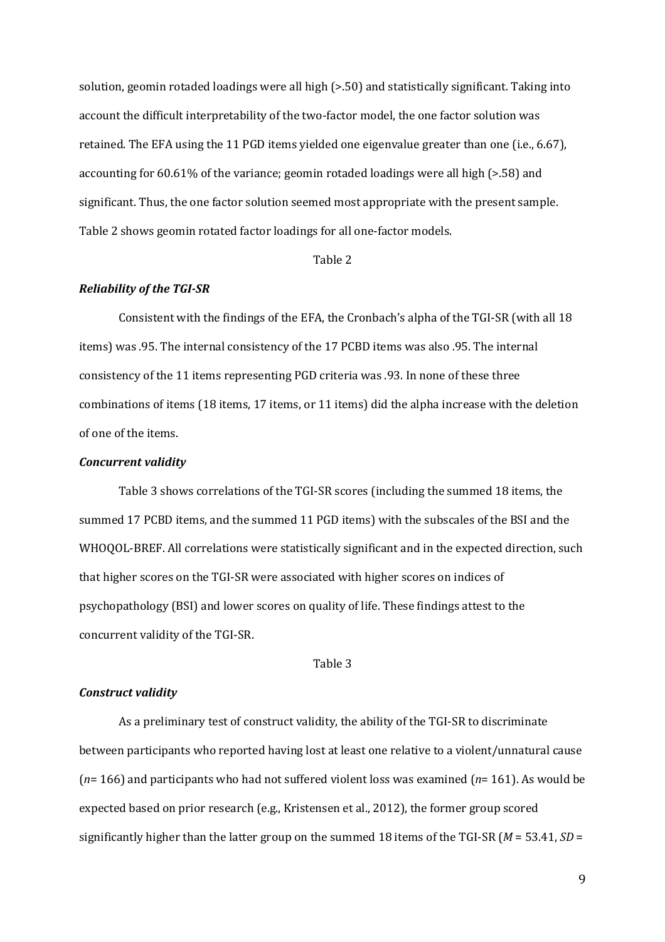solution, geomin rotaded loadings were all high (>.50) and statistically significant. Taking into account the difficult interpretability of the two-factor model, the one factor solution was retained. The EFA using the 11 PGD items yielded one eigenvalue greater than one (i.e., 6.67), accounting for 60.61% of the variance; geomin rotaded loadings were all high (>.58) and significant. Thus, the one factor solution seemed most appropriate with the present sample. Table 2 shows geomin rotated factor loadings for all one-factor models.

#### Table 2

## *Reliability of the TGI-SR*

Consistent with the findings of the EFA, the Cronbach's alpha of the TGI-SR (with all 18 items) was .95. The internal consistency of the 17 PCBD items was also .95. The internal consistency of the 11 items representing PGD criteria was .93. In none of these three combinations of items (18 items, 17 items, or 11 items) did the alpha increase with the deletion of one of the items.

## *Concurrent validity*

Table 3 shows correlations of the TGI-SR scores (including the summed 18 items, the summed 17 PCBD items, and the summed 11 PGD items) with the subscales of the BSI and the WHOQOL-BREF. All correlations were statistically significant and in the expected direction, such that higher scores on the TGI-SR were associated with higher scores on indices of psychopathology (BSI) and lower scores on quality of life. These findings attest to the concurrent validity of the TGI-SR.

Table 3

## *Construct validity*

As a preliminary test of construct validity, the ability of the TGI-SR to discriminate between participants who reported having lost at least one relative to a violent/unnatural cause (*n*= 166) and participants who had not suffered violent loss was examined (*n*= 161). As would be expected based on prior research (e.g., Kristensen et al., 2012), the former group scored significantly higher than the latter group on the summed 18 items of the TGI-SR (*M* = 53.41, *SD* =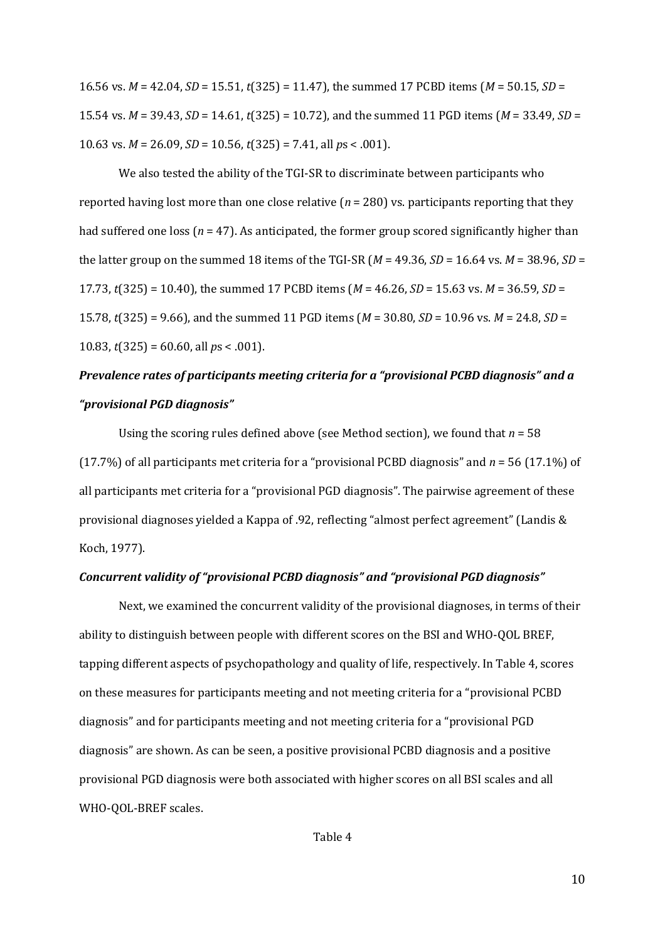16.56 vs. *M* = 42.04, *SD* = 15.51, *t*(325) = 11.47), the summed 17 PCBD items (*M* = 50.15, *SD* = 15.54 vs. *M* = 39.43, *SD* = 14.61, *t*(325) = 10.72), and the summed 11 PGD items (*M* = 33.49, *SD* = 10.63 vs. *M* = 26.09, *SD* = 10.56, *t*(325) = 7.41, all *p*s < .001).

We also tested the ability of the TGI-SR to discriminate between participants who reported having lost more than one close relative  $(n = 280)$  vs. participants reporting that they had suffered one loss  $(n = 47)$ . As anticipated, the former group scored significantly higher than the latter group on the summed 18 items of the TGI-SR  $(M = 49.36, SD = 16.64$  vs.  $M = 38.96, SD =$ 17.73, *t*(325) = 10.40), the summed 17 PCBD items (*M* = 46.26, *SD* = 15.63 vs. *M* = 36.59, *SD* = 15.78, *t*(325) = 9.66), and the summed 11 PGD items (*M* = 30.80, *SD* = 10.96 vs. *M* = 24.8, *SD* = 10.83, *t*(325) = 60.60, all *p*s < .001).

# *Prevalence rates of participants meeting criteria for a "provisional PCBD diagnosis" and a "provisional PGD diagnosis"*

Using the scoring rules defined above (see Method section), we found that  $n = 58$ (17.7%) of all participants met criteria for a "provisional PCBD diagnosis" and *n* = 56 (17.1%) of all participants met criteria for a "provisional PGD diagnosis". The pairwise agreement of these provisional diagnoses yielded a Kappa of .92, reflecting "almost perfect agreement" (Landis & Koch, 1977).

#### *Concurrent validity of "provisional PCBD diagnosis" and "provisional PGD diagnosis"*

Next, we examined the concurrent validity of the provisional diagnoses, in terms of their ability to distinguish between people with different scores on the BSI and WHO-QOL BREF, tapping different aspects of psychopathology and quality of life, respectively. In Table 4, scores on these measures for participants meeting and not meeting criteria for a "provisional PCBD diagnosis" and for participants meeting and not meeting criteria for a "provisional PGD diagnosis" are shown. As can be seen, a positive provisional PCBD diagnosis and a positive provisional PGD diagnosis were both associated with higher scores on all BSI scales and all WHO-QOL-BREF scales.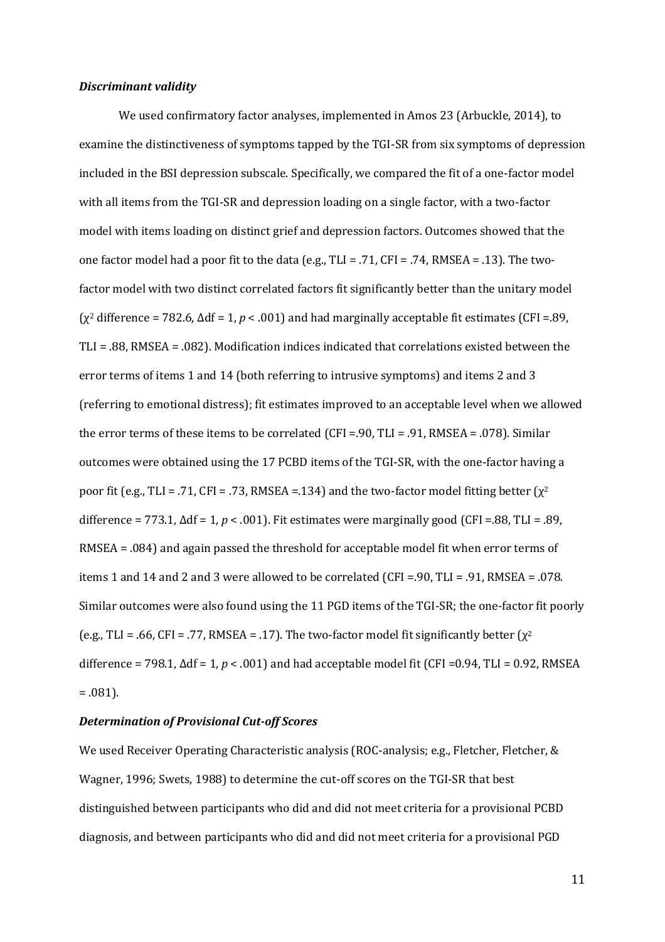### *Discriminant validity*

We used confirmatory factor analyses, implemented in Amos 23 (Arbuckle, 2014), to examine the distinctiveness of symptoms tapped by the TGI-SR from six symptoms of depression included in the BSI depression subscale. Specifically, we compared the fit of a one-factor model with all items from the TGI-SR and depression loading on a single factor, with a two-factor model with items loading on distinct grief and depression factors. Outcomes showed that the one factor model had a poor fit to the data (e.g., TLI = .71, CFI = .74, RMSEA = .13). The twofactor model with two distinct correlated factors fit significantly better than the unitary model (χ<sup>2</sup> difference = 782.6, Δdf = 1, *p* < .001) and had marginally acceptable fit estimates (CFI =.89, TLI = .88, RMSEA = .082). Modification indices indicated that correlations existed between the error terms of items 1 and 14 (both referring to intrusive symptoms) and items 2 and 3 (referring to emotional distress); fit estimates improved to an acceptable level when we allowed the error terms of these items to be correlated (CFI =.90, TLI = .91, RMSEA = .078). Similar outcomes were obtained using the 17 PCBD items of the TGI-SR, with the one-factor having a poor fit (e.g., TLI = .71, CFI = .73, RMSEA = .134) and the two-factor model fitting better ( $\chi^2$ difference = 773.1, Δdf = 1, *p* < .001). Fit estimates were marginally good (CFI =.88, TLI = .89, RMSEA = .084) and again passed the threshold for acceptable model fit when error terms of items 1 and 14 and 2 and 3 were allowed to be correlated (CFI =.90, TLI = .91, RMSEA = .078. Similar outcomes were also found using the 11 PGD items of the TGI-SR; the one-factor fit poorly (e.g., TLI = .66, CFI = .77, RMSEA = .17). The two-factor model fit significantly better ( $\chi^2$ difference = 798.1, Δdf = 1, *p* < .001) and had acceptable model fit (CFI =0.94, TLI = 0.92, RMSEA  $=.081$ ).

#### *Determination of Provisional Cut-off Scores*

We used Receiver Operating Characteristic analysis (ROC-analysis; e.g., Fletcher, Fletcher, & Wagner, 1996; Swets, 1988) to determine the cut-off scores on the TGI-SR that best distinguished between participants who did and did not meet criteria for a provisional PCBD diagnosis, and between participants who did and did not meet criteria for a provisional PGD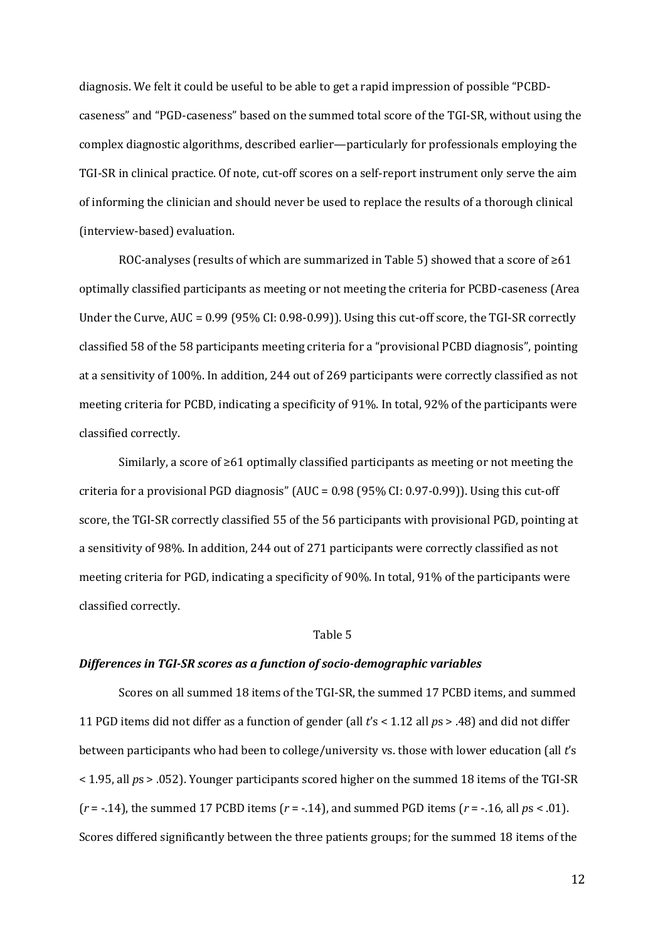diagnosis. We felt it could be useful to be able to get a rapid impression of possible "PCBDcaseness" and "PGD-caseness" based on the summed total score of the TGI-SR, without using the complex diagnostic algorithms, described earlier—particularly for professionals employing the TGI-SR in clinical practice. Of note, cut-off scores on a self-report instrument only serve the aim of informing the clinician and should never be used to replace the results of a thorough clinical (interview-based) evaluation.

ROC-analyses (results of which are summarized in Table 5) showed that a score of  $\geq 61$ optimally classified participants as meeting or not meeting the criteria for PCBD-caseness (Area Under the Curve, AUC = 0.99 (95% CI: 0.98-0.99)). Using this cut-off score, the TGI-SR correctly classified 58 of the 58 participants meeting criteria for a "provisional PCBD diagnosis", pointing at a sensitivity of 100%. In addition, 244 out of 269 participants were correctly classified as not meeting criteria for PCBD, indicating a specificity of 91%. In total, 92% of the participants were classified correctly.

Similarly, a score of ≥61 optimally classified participants as meeting or not meeting the criteria for a provisional PGD diagnosis" ( $AUC = 0.98$  (95% CI: 0.97-0.99)). Using this cut-off score, the TGI-SR correctly classified 55 of the 56 participants with provisional PGD, pointing at a sensitivity of 98%. In addition, 244 out of 271 participants were correctly classified as not meeting criteria for PGD, indicating a specificity of 90%. In total, 91% of the participants were classified correctly.

### Table 5

#### *Differences in TGI-SR scores as a function of socio-demographic variables*

Scores on all summed 18 items of the TGI-SR, the summed 17 PCBD items, and summed 11 PGD items did not differ as a function of gender (all *t*'s < 1.12 all *p*s > .48) and did not differ between participants who had been to college/university vs. those with lower education (all *t*'s < 1.95, all *p*s > .052). Younger participants scored higher on the summed 18 items of the TGI-SR (*r* = -.14), the summed 17 PCBD items (*r* = -.14), and summed PGD items (*r* = -.16, all *p*s < .01). Scores differed significantly between the three patients groups; for the summed 18 items of the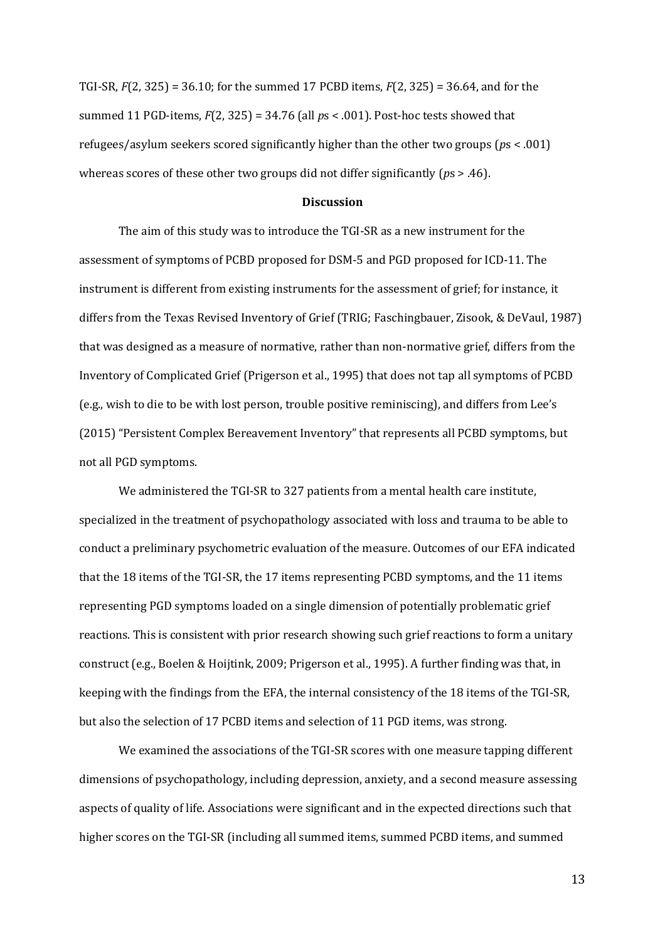TGI-SR, *F*(2, 325) = 36.10; for the summed 17 PCBD items, *F*(2, 325) = 36.64, and for the summed 11 PGD-items, *F*(2, 325) = 34.76 (all *p*s < .001). Post-hoc tests showed that refugees/asylum seekers scored significantly higher than the other two groups (*p*s < .001) whereas scores of these other two groups did not differ significantly (*p*s > .46).

## **Discussion**

The aim of this study was to introduce the TGI-SR as a new instrument for the assessment of symptoms of PCBD proposed for DSM-5 and PGD proposed for ICD-11. The instrument is different from existing instruments for the assessment of grief; for instance, it differs from the Texas Revised Inventory of Grief (TRIG; Faschingbauer, Zisook, & DeVaul, 1987) that was designed as a measure of normative, rather than non-normative grief, differs from the Inventory of Complicated Grief (Prigerson et al., 1995) that does not tap all symptoms of PCBD (e.g., wish to die to be with lost person, trouble positive reminiscing), and differs from Lee's (2015) "Persistent Complex Bereavement Inventory" that represents all PCBD symptoms, but not all PGD symptoms.

We administered the TGI-SR to 327 patients from a mental health care institute, specialized in the treatment of psychopathology associated with loss and trauma to be able to conduct a preliminary psychometric evaluation of the measure. Outcomes of our EFA indicated that the 18 items of the TGI-SR, the 17 items representing PCBD symptoms, and the 11 items representing PGD symptoms loaded on a single dimension of potentially problematic grief reactions. This is consistent with prior research showing such grief reactions to form a unitary construct (e.g., Boelen & Hoijtink, 2009; Prigerson et al., 1995). A further finding was that, in keeping with the findings from the EFA, the internal consistency of the 18 items of the TGI-SR, but also the selection of 17 PCBD items and selection of 11 PGD items, was strong.

We examined the associations of the TGI-SR scores with one measure tapping different dimensions of psychopathology, including depression, anxiety, and a second measure assessing aspects of quality of life. Associations were significant and in the expected directions such that higher scores on the TGI-SR (including all summed items, summed PCBD items, and summed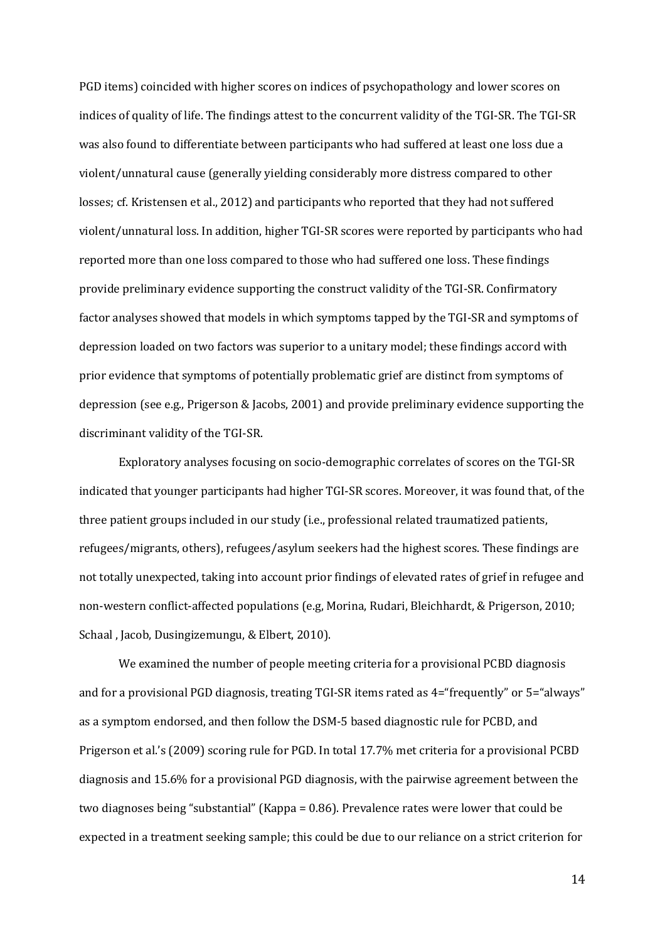PGD items) coincided with higher scores on indices of psychopathology and lower scores on indices of quality of life. The findings attest to the concurrent validity of the TGI-SR. The TGI-SR was also found to differentiate between participants who had suffered at least one loss due a violent/unnatural cause (generally yielding considerably more distress compared to other losses; cf. Kristensen et al., 2012) and participants who reported that they had not suffered violent/unnatural loss. In addition, higher TGI-SR scores were reported by participants who had reported more than one loss compared to those who had suffered one loss. These findings provide preliminary evidence supporting the construct validity of the TGI-SR. Confirmatory factor analyses showed that models in which symptoms tapped by the TGI-SR and symptoms of depression loaded on two factors was superior to a unitary model; these findings accord with prior evidence that symptoms of potentially problematic grief are distinct from symptoms of depression (see e.g., Prigerson & Jacobs, 2001) and provide preliminary evidence supporting the discriminant validity of the TGI-SR.

Exploratory analyses focusing on socio-demographic correlates of scores on the TGI-SR indicated that younger participants had higher TGI-SR scores. Moreover, it was found that, of the three patient groups included in our study (i.e., professional related traumatized patients, refugees/migrants, others), refugees/asylum seekers had the highest scores. These findings are not totally unexpected, taking into account prior findings of elevated rates of grief in refugee and non-western conflict-affected populations (e.g, Morina, Rudari, Bleichhardt, & Prigerson, 2010; Schaal , Jacob, Dusingizemungu, & Elbert, 2010).

We examined the number of people meeting criteria for a provisional PCBD diagnosis and for a provisional PGD diagnosis, treating TGI-SR items rated as 4="frequently" or 5="always" as a symptom endorsed, and then follow the DSM-5 based diagnostic rule for PCBD, and Prigerson et al.'s (2009) scoring rule for PGD. In total 17.7% met criteria for a provisional PCBD diagnosis and 15.6% for a provisional PGD diagnosis, with the pairwise agreement between the two diagnoses being "substantial" (Kappa = 0.86). Prevalence rates were lower that could be expected in a treatment seeking sample; this could be due to our reliance on a strict criterion for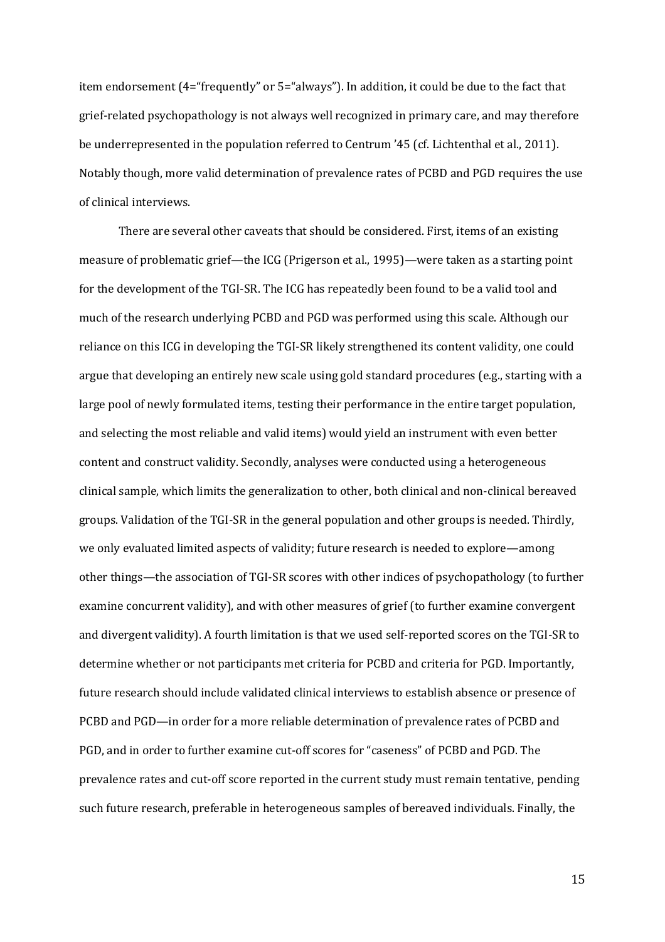item endorsement (4="frequently" or 5="always"). In addition, it could be due to the fact that grief-related psychopathology is not always well recognized in primary care, and may therefore be underrepresented in the population referred to Centrum '45 (cf. Lichtenthal et al., 2011). Notably though, more valid determination of prevalence rates of PCBD and PGD requires the use of clinical interviews.

There are several other caveats that should be considered. First, items of an existing measure of problematic grief—the ICG (Prigerson et al., 1995)—were taken as a starting point for the development of the TGI-SR. The ICG has repeatedly been found to be a valid tool and much of the research underlying PCBD and PGD was performed using this scale. Although our reliance on this ICG in developing the TGI-SR likely strengthened its content validity, one could argue that developing an entirely new scale using gold standard procedures (e.g., starting with a large pool of newly formulated items, testing their performance in the entire target population, and selecting the most reliable and valid items) would yield an instrument with even better content and construct validity. Secondly, analyses were conducted using a heterogeneous clinical sample, which limits the generalization to other, both clinical and non-clinical bereaved groups. Validation of the TGI-SR in the general population and other groups is needed. Thirdly, we only evaluated limited aspects of validity; future research is needed to explore—among other things—the association of TGI-SR scores with other indices of psychopathology (to further examine concurrent validity), and with other measures of grief (to further examine convergent and divergent validity). A fourth limitation is that we used self-reported scores on the TGI-SR to determine whether or not participants met criteria for PCBD and criteria for PGD. Importantly, future research should include validated clinical interviews to establish absence or presence of PCBD and PGD—in order for a more reliable determination of prevalence rates of PCBD and PGD, and in order to further examine cut-off scores for "caseness" of PCBD and PGD. The prevalence rates and cut-off score reported in the current study must remain tentative, pending such future research, preferable in heterogeneous samples of bereaved individuals. Finally, the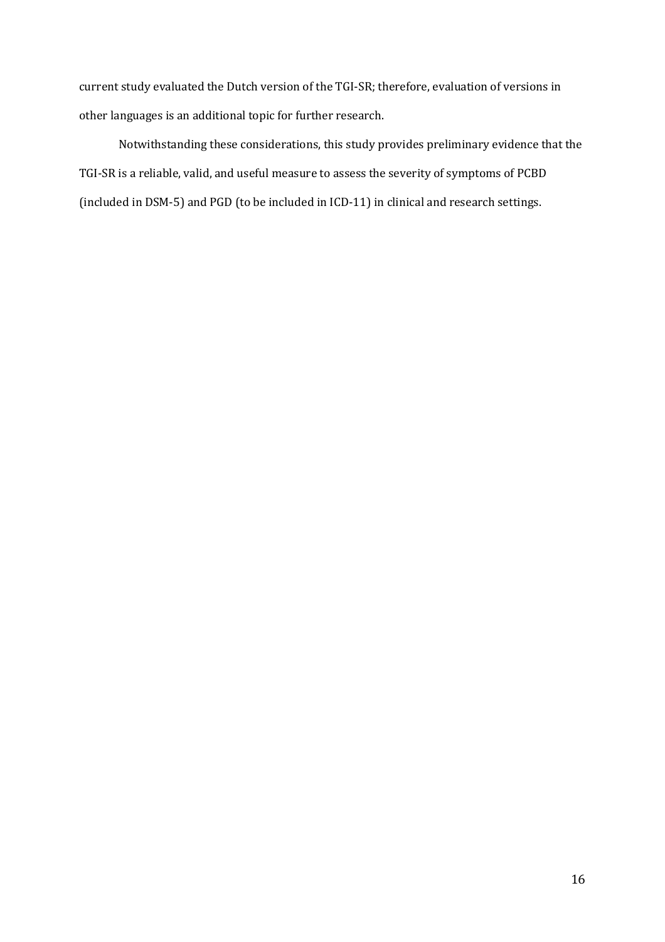current study evaluated the Dutch version of the TGI-SR; therefore, evaluation of versions in other languages is an additional topic for further research.

Notwithstanding these considerations, this study provides preliminary evidence that the TGI-SR is a reliable, valid, and useful measure to assess the severity of symptoms of PCBD (included in DSM-5) and PGD (to be included in ICD-11) in clinical and research settings.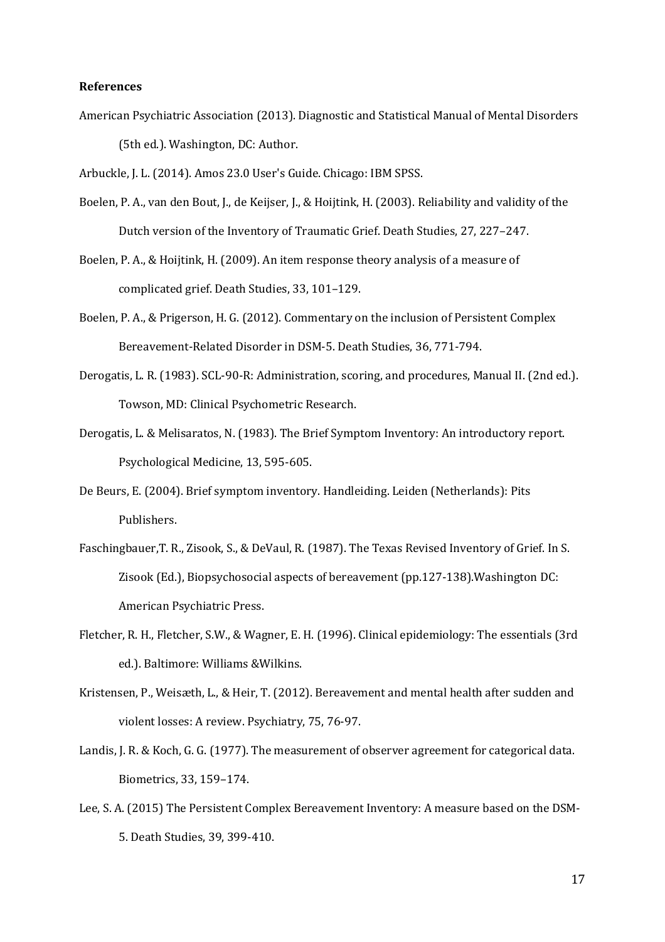## **References**

- American Psychiatric Association (2013). Diagnostic and Statistical Manual of Mental Disorders (5th ed.). Washington, DC: Author.
- Arbuckle, J. L. (2014). Amos 23.0 User's Guide. Chicago: IBM SPSS.
- Boelen, P. A., van den Bout, J., de Keijser, J., & Hoijtink, H. (2003). Reliability and validity of the Dutch version of the Inventory of Traumatic Grief. Death Studies, 27, 227–247.
- Boelen, P. A., & Hoijtink, H. (2009). An item response theory analysis of a measure of complicated grief. Death Studies, 33, 101–129.
- Boelen, P. A., & Prigerson, H. G. (2012). Commentary on the inclusion of Persistent Complex Bereavement-Related Disorder in DSM-5. Death Studies, 36, 771-794.
- Derogatis, L. R. (1983). SCL-90-R: Administration, scoring, and procedures, Manual II. (2nd ed.). Towson, MD: Clinical Psychometric Research.
- Derogatis, L. & Melisaratos, N. (1983). The Brief Symptom Inventory: An introductory report. Psychological Medicine, 13, 595-605.
- De Beurs, E. (2004). Brief symptom inventory. Handleiding. Leiden (Netherlands): Pits Publishers.
- Faschingbauer,T. R., Zisook, S., & DeVaul, R. (1987). The Texas Revised Inventory of Grief. In S. Zisook (Ed.), Biopsychosocial aspects of bereavement (pp.127-138).Washington DC: American Psychiatric Press.
- Fletcher, R. H., Fletcher, S.W., & Wagner, E. H. (1996). Clinical epidemiology: The essentials (3rd ed.). Baltimore: Williams &Wilkins.
- Kristensen, P., Weisæth, L., & Heir, T. (2012). Bereavement and mental health after sudden and violent losses: A review. Psychiatry, 75, 76-97.
- Landis, J. R. & Koch, G. G. (1977). The measurement of observer agreement for categorical data. Biometrics, 33, 159–174.
- Lee, S. A. (2015) The Persistent Complex Bereavement Inventory: A measure based on the DSM-5. Death Studies, 39, 399-410.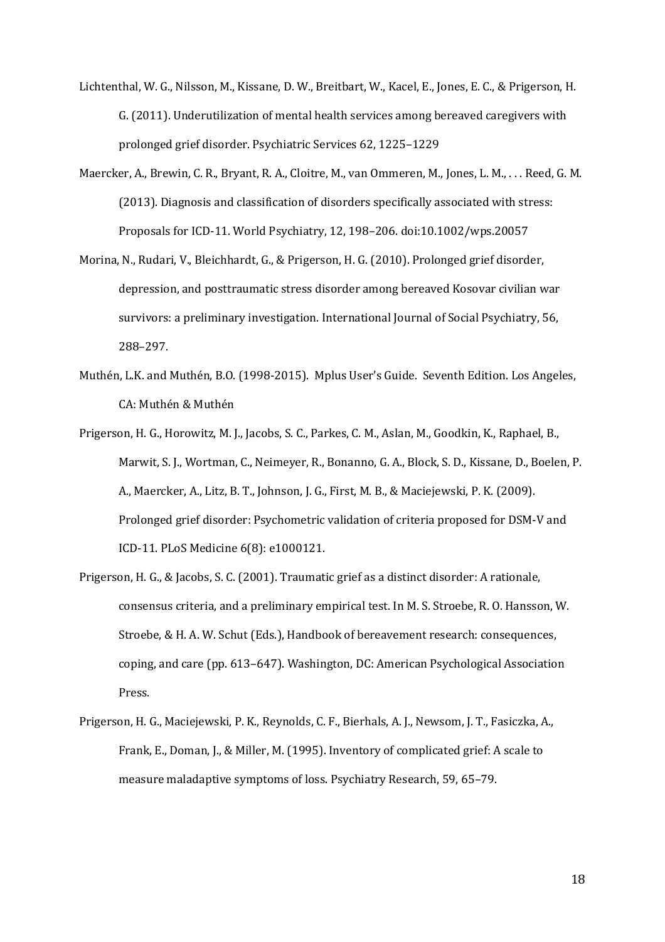- Lichtenthal, W. G., Nilsson, M., Kissane, D. W., Breitbart, W., Kacel, E., Jones, E. C., & Prigerson, H. G. (2011). Underutilization of mental health services among bereaved caregivers with prolonged grief disorder. Psychiatric Services 62, 1225–1229
- Maercker, A., Brewin, C. R., Bryant, R. A., Cloitre, M., van Ommeren, M., Jones, L. M., . . . Reed, G. M. (2013). Diagnosis and classification of disorders specifically associated with stress: Proposals for ICD-11. World Psychiatry, 12, 198–206. doi:10.1002/wps.20057
- Morina, N., Rudari, V., Bleichhardt, G., & Prigerson, H. G. (2010). Prolonged grief disorder, depression, and posttraumatic stress disorder among bereaved Kosovar civilian war survivors: a preliminary investigation. International Journal of Social Psychiatry, 56, 288–297.
- Muthén, L.K. and Muthén, B.O. (1998-2015). Mplus User's Guide. Seventh Edition. Los Angeles, CA: Muthén & Muthén
- Prigerson, H. G., Horowitz, M. J., Jacobs, S. C., Parkes, C. M., Aslan, M., Goodkin, K., Raphael, B., Marwit, S. J., Wortman, C., Neimeyer, R., Bonanno, G. A., Block, S. D., Kissane, D., Boelen, P. A., Maercker, A., Litz, B. T., Johnson, J. G., First, M. B., & Maciejewski, P. K. (2009). Prolonged grief disorder: Psychometric validation of criteria proposed for DSM-V and ICD-11. PLoS Medicine 6(8): e1000121.
- Prigerson, H. G., & Jacobs, S. C. (2001). Traumatic grief as a distinct disorder: A rationale, consensus criteria, and a preliminary empirical test. In M. S. Stroebe, R. O. Hansson, W. Stroebe, & H. A. W. Schut (Eds.), Handbook of bereavement research: consequences, coping, and care (pp. 613–647). Washington, DC: American Psychological Association Press.
- Prigerson, H. G., Maciejewski, P. K., Reynolds, C. F., Bierhals, A. J., Newsom, J. T., Fasiczka, A., Frank, E., Doman, J., & Miller, M. (1995). Inventory of complicated grief: A scale to measure maladaptive symptoms of loss. Psychiatry Research, 59, 65–79.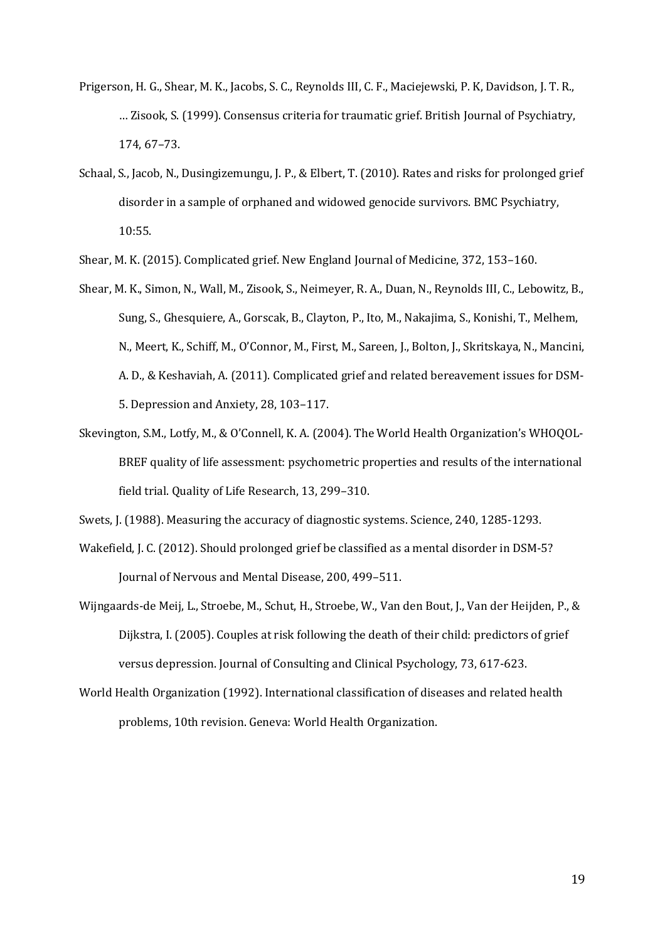- Prigerson, H. G., Shear, M. K., Jacobs, S. C., Reynolds III, C. F., Maciejewski, P. K, Davidson, J. T. R., … Zisook, S. (1999). Consensus criteria for traumatic grief. British Journal of Psychiatry, 174, 67–73.
- Schaal, S., Jacob, N., Dusingizemungu, J. P., & Elbert, T. (2010). Rates and risks for prolonged grief disorder in a sample of orphaned and widowed genocide survivors. BMC Psychiatry, 10:55.

Shear, M. K. (2015). Complicated grief. New England Journal of Medicine, 372, 153–160.

- Shear, M. K., Simon, N., Wall, M., Zisook, S., Neimeyer, R. A., Duan, N., Reynolds III, C., Lebowitz, B., Sung, S., Ghesquiere, A., Gorscak, B., Clayton, P., Ito, M., Nakajima, S., Konishi, T., Melhem, N., Meert, K., Schiff, M., O'Connor, M., First, M., Sareen, J., Bolton, J., Skritskaya, N., Mancini, A. D., & Keshaviah, A. (2011). Complicated grief and related bereavement issues for DSM-5. Depression and Anxiety, 28, 103–117.
- Skevington, S.M., Lotfy, M., & O'Connell, K. A. (2004). The World Health Organization's WHOQOL-BREF quality of life assessment: psychometric properties and results of the international field trial. Quality of Life Research, 13, 299–310.
- Swets, J. (1988). Measuring the accuracy of diagnostic systems. Science, 240, 1285-1293.
- Wakefield, J. C. (2012). Should prolonged grief be classified as a mental disorder in DSM-5? Journal of Nervous and Mental Disease, 200, 499–511.
- Wijngaards-de Meij, L., Stroebe, M., Schut, H., Stroebe, W., Van den Bout, J., Van der Heijden, P., & Dijkstra, I. (2005). Couples at risk following the death of their child: predictors of grief versus depression. Journal of Consulting and Clinical Psychology, 73, 617-623.
- World Health Organization (1992). International classification of diseases and related health problems, 10th revision. Geneva: World Health Organization.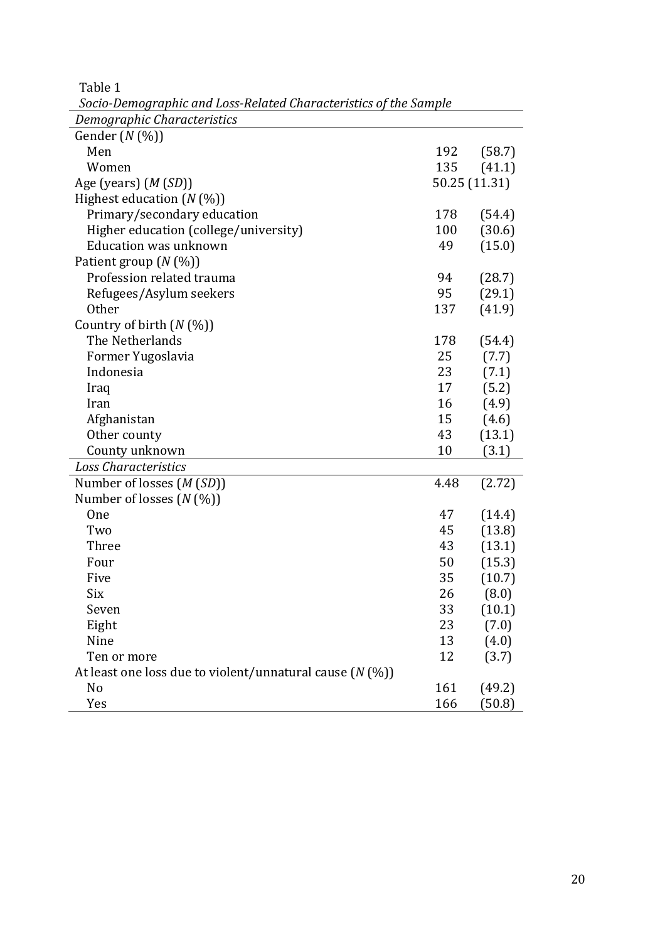Table 1

*Socio-Demographic and Loss-Related Characteristics of the Sample*

| Demographic Characteristics                                |      |               |
|------------------------------------------------------------|------|---------------|
| Gender $(N \,  \, \%)$                                     |      |               |
| Men                                                        | 192  | (58.7)        |
| Women                                                      | 135  | (41.1)        |
| Age (years) $(M(SD))$                                      |      | 50.25 (11.31) |
| Highest education $(N (\%))$                               |      |               |
| Primary/secondary education                                | 178  | (54.4)        |
| Higher education (college/university)                      | 100  | (30.6)        |
| Education was unknown                                      | 49   | (15.0)        |
| Patient group $(N \, (%))$                                 |      |               |
| Profession related trauma                                  | 94   | (28.7)        |
| Refugees/Asylum seekers                                    | 95   | (29.1)        |
| <b>Other</b>                                               | 137  | (41.9)        |
| Country of birth $(N(\%))$                                 |      |               |
| The Netherlands                                            | 178  | (54.4)        |
| Former Yugoslavia                                          | 25   | (7.7)         |
| Indonesia                                                  | 23   | (7.1)         |
| Iraq                                                       | 17   | (5.2)         |
| Iran                                                       | 16   | (4.9)         |
| Afghanistan                                                | 15   | (4.6)         |
| Other county                                               | 43   | (13.1)        |
| County unknown                                             | 10   | (3.1)         |
| <b>Loss Characteristics</b>                                |      |               |
| Number of losses $(M(SD))$                                 | 4.48 | (2.72)        |
| Number of losses $(N(\%))$                                 |      |               |
| <b>One</b>                                                 | 47   | (14.4)        |
| Two                                                        | 45   | (13.8)        |
| Three                                                      | 43   | (13.1)        |
| Four                                                       | 50   | (15.3)        |
| Five                                                       | 35   | (10.7)        |
| Six                                                        | 26   | (8.0)         |
| Seven                                                      | 33   | (10.1)        |
| Eight                                                      | 23   | (7.0)         |
| Nine                                                       | 13   | (4.0)         |
| Ten or more                                                | 12   | (3.7)         |
| At least one loss due to violent/unnatural cause $(N(\%))$ |      |               |
| No                                                         | 161  | (49.2)        |
| Yes                                                        | 166  | (50.8)        |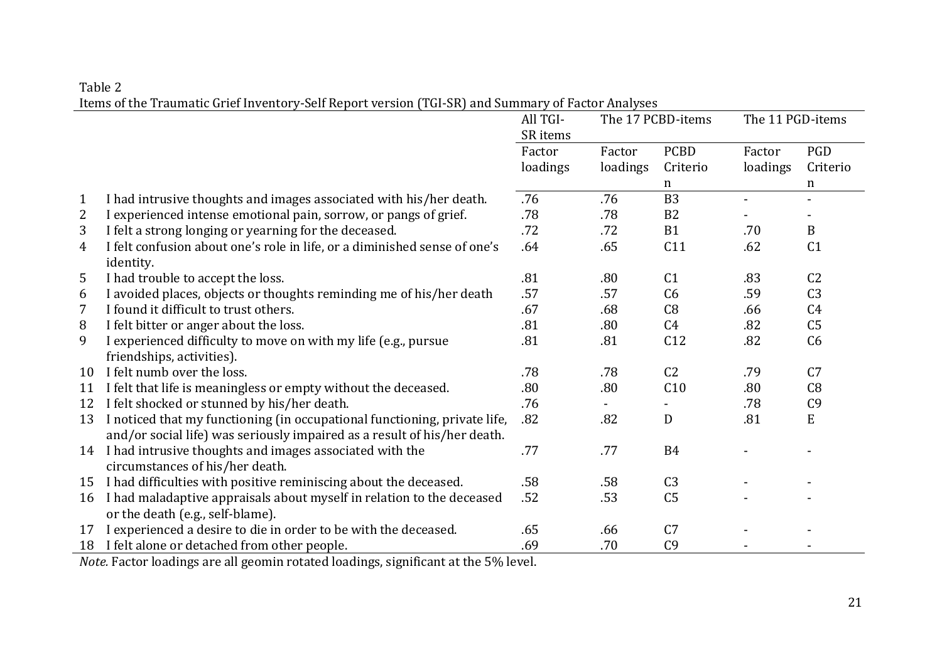|              | nchis of the Traditiatic drief hiventory sen neport version [Tur siv] and summary of Factor Amaryses<br>All TGI- |          |          | The 17 PCBD-items | The 11 PGD-items |                |
|--------------|------------------------------------------------------------------------------------------------------------------|----------|----------|-------------------|------------------|----------------|
|              |                                                                                                                  | SR items |          |                   |                  |                |
|              |                                                                                                                  | Factor   | Factor   | <b>PCBD</b>       | Factor           | PGD            |
|              |                                                                                                                  | loadings | loadings | Criterio          | loadings         | Criterio       |
|              |                                                                                                                  |          |          | n                 |                  | n              |
| $\mathbf{1}$ | I had intrusive thoughts and images associated with his/her death.                                               | .76      | .76      | <b>B3</b>         |                  |                |
| 2            | I experienced intense emotional pain, sorrow, or pangs of grief.                                                 | .78      | .78      | <b>B2</b>         |                  | $\blacksquare$ |
| 3            | I felt a strong longing or yearning for the deceased.                                                            | .72      | .72      | <b>B1</b>         | .70              | $\, {\bf B}$   |
| 4            | I felt confusion about one's role in life, or a diminished sense of one's<br>identity.                           | .64      | .65      | C11               | .62              | C <sub>1</sub> |
| 5            | I had trouble to accept the loss.                                                                                | .81      | .80      | C <sub>1</sub>    | .83              | C <sub>2</sub> |
| 6            | I avoided places, objects or thoughts reminding me of his/her death                                              | .57      | .57      | C <sub>6</sub>    | .59              | C <sub>3</sub> |
| 7            | I found it difficult to trust others.                                                                            | .67      | .68      | C8                | .66              | C <sub>4</sub> |
| 8            | I felt bitter or anger about the loss.                                                                           | .81      | .80      | C <sub>4</sub>    | .82              | C <sub>5</sub> |
| 9            | I experienced difficulty to move on with my life (e.g., pursue                                                   | .81      | .81      | C12               | .82              | C6             |
|              | friendships, activities).                                                                                        |          |          |                   |                  |                |
| 10           | I felt numb over the loss.                                                                                       | .78      | .78      | C <sub>2</sub>    | .79              | C <sub>7</sub> |
| 11           | I felt that life is meaningless or empty without the deceased.                                                   | .80      | .80      | C10               | .80              | C8             |
| 12           | I felt shocked or stunned by his/her death.                                                                      | .76      |          |                   | .78              | C <sub>9</sub> |
| 13           | I noticed that my functioning (in occupational functioning, private life,                                        | .82      | .82      | D                 | .81              | E              |
|              | and/or social life) was seriously impaired as a result of his/her death.                                         |          |          |                   |                  |                |
|              | 14 I had intrusive thoughts and images associated with the                                                       | .77      | .77      | <b>B4</b>         |                  |                |
|              | circumstances of his/her death.                                                                                  |          |          |                   |                  |                |
| 15           | I had difficulties with positive reminiscing about the deceased.                                                 | .58      | .58      | C <sub>3</sub>    |                  |                |
| 16           | I had maladaptive appraisals about myself in relation to the deceased                                            | .52      | .53      | C <sub>5</sub>    |                  |                |
|              | or the death (e.g., self-blame).                                                                                 |          |          |                   |                  |                |
| 17           | I experienced a desire to die in order to be with the deceased.                                                  | .65      | .66      | C <sub>7</sub>    |                  |                |
| 18           | I felt alone or detached from other people.                                                                      | .69      | .70      | C <sub>9</sub>    |                  |                |

## Table 2 Items of the Traumatic Grief Inventory-Self Report version (TGI-SR) and Summary of Factor Analyses

*Note.* Factor loadings are all geomin rotated loadings, significant at the 5% level.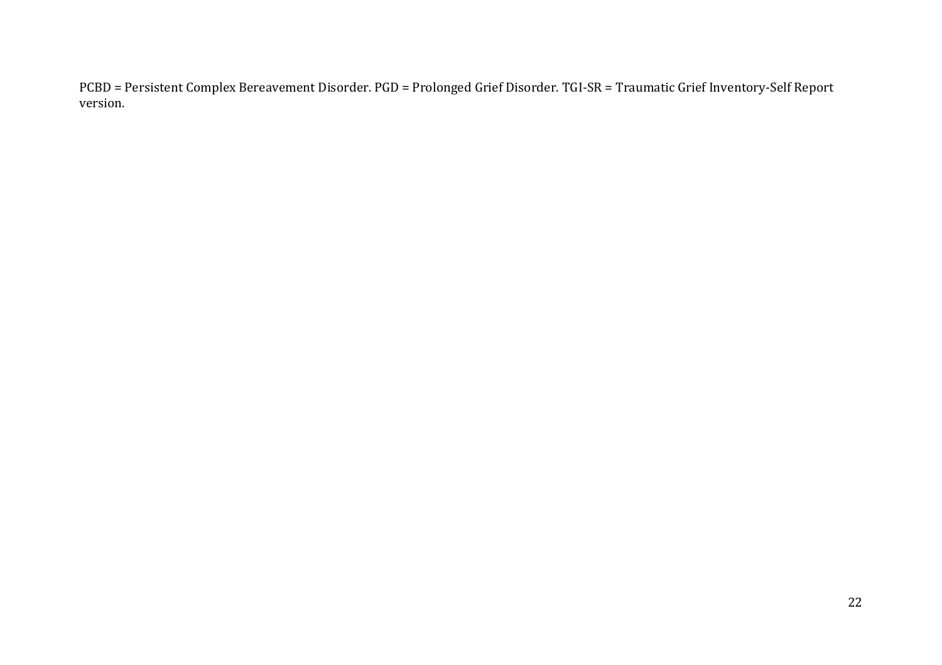PCBD = Persistent Complex Bereavement Disorder. PGD = Prolonged Grief Disorder. TGI-SR = Traumatic Grief Inventory-Self Report version.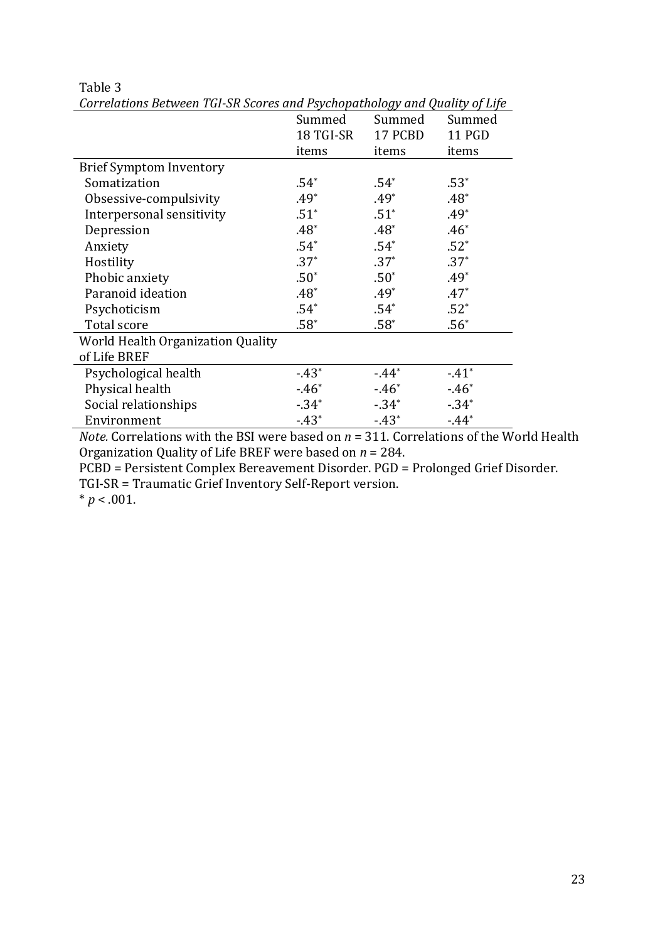|                                          | Summed    | Summed  | Summed        |
|------------------------------------------|-----------|---------|---------------|
|                                          | 18 TGI-SR | 17 PCBD | <b>11 PGD</b> |
|                                          | items     | items   | items         |
| <b>Brief Symptom Inventory</b>           |           |         |               |
| Somatization                             | $.54*$    | $.54*$  | $.53*$        |
| Obsessive-compulsivity                   | $.49*$    | $.49*$  | $.48*$        |
| Interpersonal sensitivity                | $.51*$    | $.51*$  | $.49*$        |
| Depression                               | $.48*$    | $.48*$  | $.46*$        |
| Anxiety                                  | $.54*$    | $.54*$  | $.52*$        |
| Hostility                                | $.37*$    | $.37*$  | $.37*$        |
| Phobic anxiety                           | $.50*$    | $.50*$  | $.49*$        |
| Paranoid ideation                        | $.48*$    | $.49*$  | $.47*$        |
| Psychoticism                             | $.54*$    | $.54*$  | $.52*$        |
| Total score                              | $.58*$    | $.58*$  | $.56*$        |
| <b>World Health Organization Quality</b> |           |         |               |
| of Life BREF                             |           |         |               |
| Psychological health                     | $-43*$    | $-44*$  | $-41*$        |
| Physical health                          | $-46*$    | $-46*$  | $-46*$        |
| Social relationships                     | $-34*$    | $-.34*$ | $-34*$        |
| Environment                              | $-43*$    | $-43*$  | $-44*$        |

Table 3 *Correlations Between TGI-SR Scores and Psychopathology and Quality of Life*

*Note.* Correlations with the BSI were based on *n* = 311. Correlations of the World Health Organization Quality of Life BREF were based on *n* = 284.

PCBD = Persistent Complex Bereavement Disorder. PGD = Prolonged Grief Disorder.

TGI-SR = Traumatic Grief Inventory Self-Report version.

 $* p < .001.$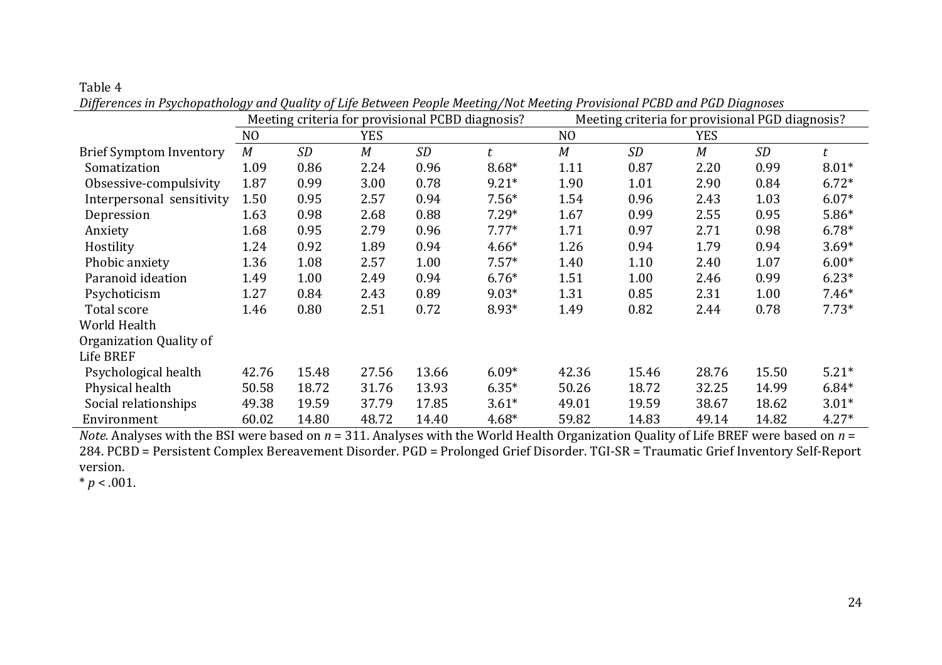## Table 4

|                                | Meeting criteria for provisional PCBD diagnosis? |           |                  |           | Meeting criteria for provisional PGD diagnosis? |                |           |            |           |         |
|--------------------------------|--------------------------------------------------|-----------|------------------|-----------|-------------------------------------------------|----------------|-----------|------------|-----------|---------|
|                                | N <sub>O</sub>                                   |           | <b>YES</b>       |           |                                                 | N <sub>O</sub> |           | <b>YES</b> |           |         |
| <b>Brief Symptom Inventory</b> | M                                                | <b>SD</b> | $\boldsymbol{M}$ | <b>SD</b> | t                                               | M              | <b>SD</b> | M          | <b>SD</b> | $t\,$   |
| Somatization                   | 1.09                                             | 0.86      | 2.24             | 0.96      | $8.68*$                                         | 1.11           | 0.87      | 2.20       | 0.99      | $8.01*$ |
| Obsessive-compulsivity         | 1.87                                             | 0.99      | 3.00             | 0.78      | $9.21*$                                         | 1.90           | 1.01      | 2.90       | 0.84      | $6.72*$ |
| Interpersonal sensitivity      | 1.50                                             | 0.95      | 2.57             | 0.94      | $7.56*$                                         | 1.54           | 0.96      | 2.43       | 1.03      | $6.07*$ |
| Depression                     | 1.63                                             | 0.98      | 2.68             | 0.88      | $7.29*$                                         | 1.67           | 0.99      | 2.55       | 0.95      | $5.86*$ |
| Anxiety                        | 1.68                                             | 0.95      | 2.79             | 0.96      | $7.77*$                                         | 1.71           | 0.97      | 2.71       | 0.98      | $6.78*$ |
| Hostility                      | 1.24                                             | 0.92      | 1.89             | 0.94      | $4.66*$                                         | 1.26           | 0.94      | 1.79       | 0.94      | $3.69*$ |
| Phobic anxiety                 | 1.36                                             | 1.08      | 2.57             | 1.00      | $7.57*$                                         | 1.40           | 1.10      | 2.40       | 1.07      | $6.00*$ |
| Paranoid ideation              | 1.49                                             | 1.00      | 2.49             | 0.94      | $6.76*$                                         | 1.51           | 1.00      | 2.46       | 0.99      | $6.23*$ |
| Psychoticism                   | 1.27                                             | 0.84      | 2.43             | 0.89      | $9.03*$                                         | 1.31           | 0.85      | 2.31       | 1.00      | $7.46*$ |
| Total score                    | 1.46                                             | 0.80      | 2.51             | 0.72      | 8.93*                                           | 1.49           | 0.82      | 2.44       | 0.78      | $7.73*$ |
| World Health                   |                                                  |           |                  |           |                                                 |                |           |            |           |         |
| Organization Quality of        |                                                  |           |                  |           |                                                 |                |           |            |           |         |
| Life BREF                      |                                                  |           |                  |           |                                                 |                |           |            |           |         |
| Psychological health           | 42.76                                            | 15.48     | 27.56            | 13.66     | $6.09*$                                         | 42.36          | 15.46     | 28.76      | 15.50     | $5.21*$ |
| Physical health                | 50.58                                            | 18.72     | 31.76            | 13.93     | $6.35*$                                         | 50.26          | 18.72     | 32.25      | 14.99     | $6.84*$ |
| Social relationships           | 49.38                                            | 19.59     | 37.79            | 17.85     | $3.61*$                                         | 49.01          | 19.59     | 38.67      | 18.62     | $3.01*$ |
| Environment                    | 60.02                                            | 14.80     | 48.72            | 14.40     | $4.68*$                                         | 59.82          | 14.83     | 49.14      | 14.82     | $4.27*$ |

*Differences in Psychopathology and Quality of Life Between People Meeting/Not Meeting Provisional PCBD and PGD Diagnoses*

*Note.* Analyses with the BSI were based on *n* = 311. Analyses with the World Health Organization Quality of Life BREF were based on *n* = 284. PCBD = Persistent Complex Bereavement Disorder. PGD = Prolonged Grief Disorder. TGI-SR = Traumatic Grief Inventory Self-Report version.

 $* p < .001.$